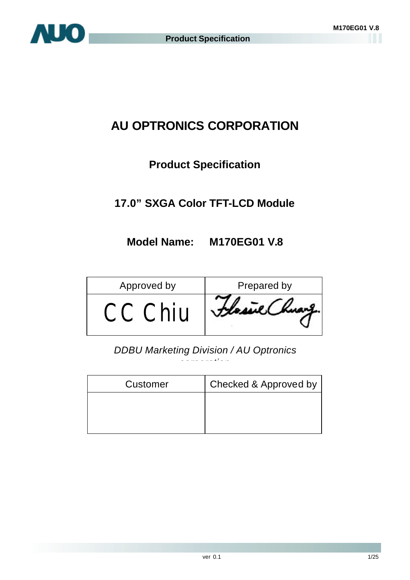

# **AU OPTRONICS CORPORATION**

# **Product Specification**

# **17.0" SXGA Color TFT-LCD Module**

# **Model Name: M170EG01 V.8**

| Approved by        | Prepared by |
|--------------------|-------------|
| $\mathcal{L}$ nill |             |

*DDBU Marketing Division / AU Optronics corporation*

| Customer | Checked & Approved by |
|----------|-----------------------|
|          |                       |
|          |                       |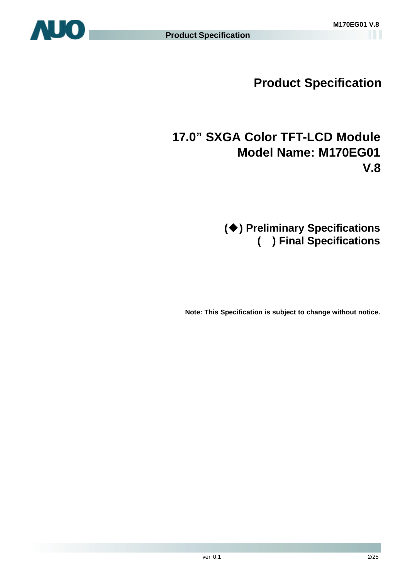

# **17.0" SXGA Color TFT-LCD Module Model Name: M170EG01 V.8**

# **(**u**) Preliminary Specifications ( ) Final Specifications**

**Note: This Specification is subject to change without notice.**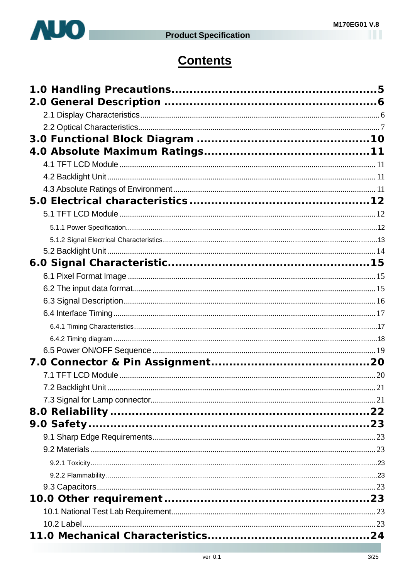

# **Contents**

| 7.2 Backlight Unit. |  |
|---------------------|--|
|                     |  |
|                     |  |
|                     |  |
|                     |  |
|                     |  |
|                     |  |
|                     |  |
|                     |  |
|                     |  |
|                     |  |
|                     |  |
|                     |  |
|                     |  |
|                     |  |
|                     |  |
|                     |  |
|                     |  |
|                     |  |
|                     |  |
|                     |  |
|                     |  |
|                     |  |
|                     |  |
|                     |  |
|                     |  |
|                     |  |
|                     |  |
|                     |  |
|                     |  |
|                     |  |
|                     |  |
|                     |  |
|                     |  |
|                     |  |
|                     |  |
|                     |  |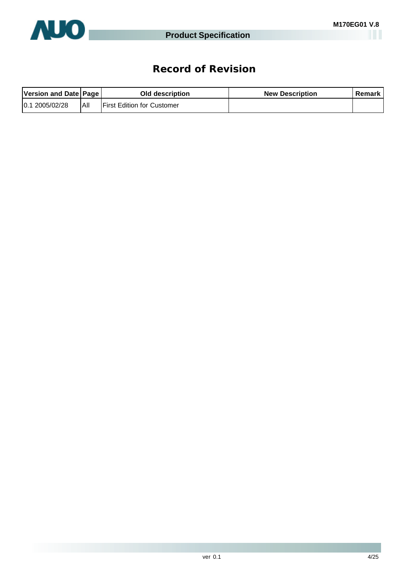

# **Record of Revision**

| Version and Date Page |      | Old description                   | <b>New Description</b> | Remark |
|-----------------------|------|-----------------------------------|------------------------|--------|
| 2005/02/28<br>10.1    | IAII | <b>First Edition for Customer</b> |                        |        |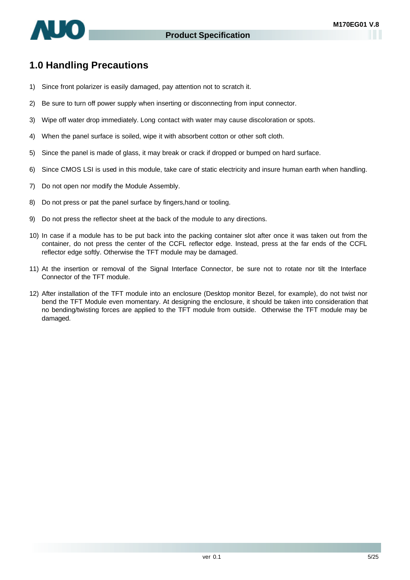

# **1.0 Handling Precautions**

- 1) Since front polarizer is easily damaged, pay attention not to scratch it.
- 2) Be sure to turn off power supply when inserting or disconnecting from input connector.
- 3) Wipe off water drop immediately. Long contact with water may cause discoloration or spots.
- 4) When the panel surface is soiled, wipe it with absorbent cotton or other soft cloth.
- 5) Since the panel is made of glass, it may break or crack if dropped or bumped on hard surface.
- 6) Since CMOS LSI is used in this module, take care of static electricity and insure human earth when handling.
- 7) Do not open nor modify the Module Assembly.
- 8) Do not press or pat the panel surface by fingers,hand or tooling.
- 9) Do not press the reflector sheet at the back of the module to any directions.
- 10) In case if a module has to be put back into the packing container slot after once it was taken out from the container, do not press the center of the CCFL reflector edge. Instead, press at the far ends of the CCFL reflector edge softly. Otherwise the TFT module may be damaged.
- 11) At the insertion or removal of the Signal Interface Connector, be sure not to rotate nor tilt the Interface Connector of the TFT module.
- 12) After installation of the TFT module into an enclosure (Desktop monitor Bezel, for example), do not twist nor bend the TFT Module even momentary. At designing the enclosure, it should be taken into consideration that no bending/twisting forces are applied to the TFT module from outside. Otherwise the TFT module may be damaged.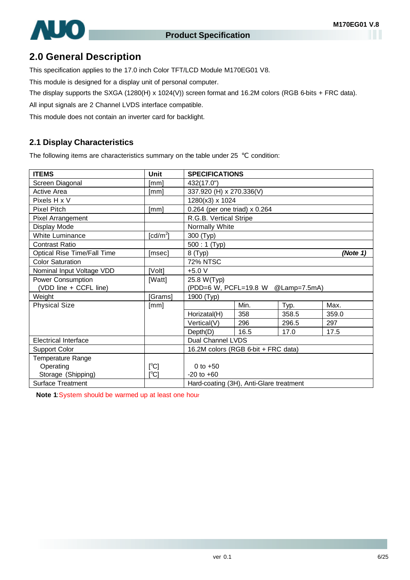

# **2.0 General Description**

This specification applies to the 17.0 inch Color TFT/LCD Module M170EG01 V8.

This module is designed for a display unit of personal computer.

The display supports the SXGA (1280(H) x 1024(V)) screen format and 16.2M colors (RGB 6-bits + FRC data).

All input signals are 2 Channel LVDS interface compatible.

This module does not contain an inverter card for backlight.

#### **2.1 Display Characteristics**

The following items are characteristics summary on the table under 25 condition:

| <b>ITEMS</b>                | Unit        | <b>SPECIFICATIONS</b>                   |                          |                                    |       |  |  |  |
|-----------------------------|-------------|-----------------------------------------|--------------------------|------------------------------------|-------|--|--|--|
| Screen Diagonal             | [mm]        | 432(17.0")                              |                          |                                    |       |  |  |  |
| Active Area                 | [mm]        |                                         | 337.920 (H) x 270.336(V) |                                    |       |  |  |  |
| Pixels H x V                |             | 1280(x3) x 1024                         |                          |                                    |       |  |  |  |
| Pixel Pitch                 | [mm]        | 0.264 (per one triad) x 0.264           |                          |                                    |       |  |  |  |
| Pixel Arrangement           |             | R.G.B. Vertical Stripe                  |                          |                                    |       |  |  |  |
| Display Mode                |             | Normally White                          |                          |                                    |       |  |  |  |
| White Luminance             | [ $cd/m2$ ] | 300 (Typ)                               |                          |                                    |       |  |  |  |
| Contrast Ratio              |             | $500:1$ (Typ)                           |                          |                                    |       |  |  |  |
| Optical Rise Time/Fall Time | [msec]      | 8 (Typ)<br>(Note 1)                     |                          |                                    |       |  |  |  |
| <b>Color Saturation</b>     |             | <b>72% NTSC</b>                         |                          |                                    |       |  |  |  |
| Nominal Input Voltage VDD   | [Volt]      | $+5.0 V$                                |                          |                                    |       |  |  |  |
| <b>Power Consumption</b>    | [Watt]      | 25.8 W(Typ)                             |                          |                                    |       |  |  |  |
| (VDD line + CCFL line)      |             |                                         |                          | (PDD=6 W, PCFL=19.8 W @Lamp=7.5mA) |       |  |  |  |
| Weight                      | [Grams]     | 1900 (Typ)                              |                          |                                    |       |  |  |  |
| <b>Physical Size</b>        | [mm]        |                                         | Min.                     | Typ.                               | Max.  |  |  |  |
|                             |             | Horizatal(H)                            | 358                      | 358.5                              | 359.0 |  |  |  |
|                             |             | Vertical(V)                             | 296                      | 296.5                              | 297   |  |  |  |
|                             |             | Depth(D)                                | 16.5                     | 17.0                               | 17.5  |  |  |  |
| <b>Electrical Interface</b> |             | Dual Channel LVDS                       |                          |                                    |       |  |  |  |
| <b>Support Color</b>        |             | 16.2M colors (RGB 6-bit + FRC data)     |                          |                                    |       |  |  |  |
| Temperature Range           |             |                                         |                          |                                    |       |  |  |  |
| Operating                   | [°C]        | 0 to $+50$                              |                          |                                    |       |  |  |  |
| Storage (Shipping)          | [°C]        | $-20$ to $+60$                          |                          |                                    |       |  |  |  |
| Surface Treatment           |             | Hard-coating (3H), Anti-Glare treatment |                          |                                    |       |  |  |  |

**Note 1**:System should be warmed up at least one hour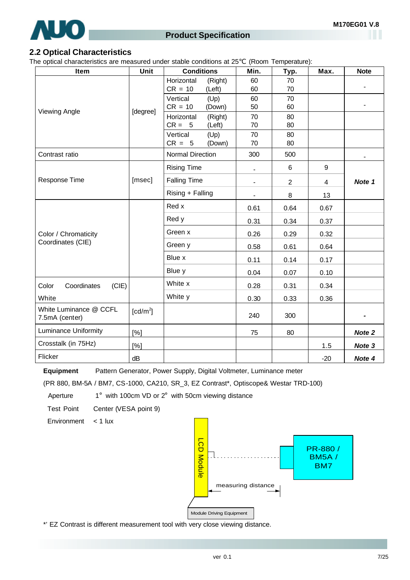

#### **2.2 Optical Characteristics**

The optical characteristics are measured under stable conditions at 25 (Room Temperature):

| Item                                     | Unit                   | <b>Conditions</b>       |                   | Min.                     | Typ.           | Max.   | <b>Note</b> |
|------------------------------------------|------------------------|-------------------------|-------------------|--------------------------|----------------|--------|-------------|
|                                          |                        | Horizontal<br>$CR = 10$ | (Right)<br>(Left) | 60<br>60                 | 70<br>70       |        |             |
| <b>Viewing Angle</b>                     |                        | Vertical<br>$CR = 10$   | (Up)<br>(Down)    | 60<br>50                 | 70<br>60       |        |             |
|                                          | [degree]               | Horizontal<br>$CR = 5$  | (Right)<br>(Left) | 70<br>70                 | 80<br>80       |        |             |
|                                          |                        | Vertical<br>$CR = 5$    | (Up)<br>(Down)    | 70<br>70                 | 80<br>80       |        |             |
| Contrast ratio                           |                        | Normal Direction        |                   | 300                      | 500            |        |             |
|                                          |                        | <b>Rising Time</b>      |                   |                          | 6              | 9      |             |
| Response Time                            | [msec]                 | <b>Falling Time</b>     |                   | $\overline{\phantom{0}}$ | $\overline{2}$ | 4      | Note 1      |
|                                          |                        | Rising + Falling        |                   | $\blacksquare$           | 8              | 13     |             |
|                                          |                        | Red x<br>Red y          |                   | 0.61                     | 0.64           | 0.67   |             |
|                                          |                        |                         |                   | 0.31                     | 0.34           | 0.37   |             |
| Color / Chromaticity                     |                        | Green x                 |                   |                          | 0.29           | 0.32   |             |
| Coordinates (CIE)                        |                        | Green y                 |                   | 0.58                     | 0.61           | 0.64   |             |
|                                          |                        | Blue x                  |                   | 0.11                     | 0.14           | 0.17   |             |
|                                          |                        | Blue y                  |                   | 0.04                     | 0.07           | 0.10   |             |
| Color<br>(CIE)<br>Coordinates            |                        | White x                 |                   | 0.28                     | 0.31           | 0.34   |             |
| White                                    |                        | White y                 |                   | 0.30                     | 0.33           | 0.36   |             |
| White Luminance @ CCFL<br>7.5mA (center) | $\lceil cd/m^2 \rceil$ |                         |                   | 240                      | 300            |        |             |
| <b>Luminance Uniformity</b><br>[%]       |                        |                         | 75                | 80                       |                | Note 2 |             |
| Crosstalk (in 75Hz)                      | [%]                    |                         |                   |                          |                | 1.5    | Note 3      |
| Flicker                                  | dB                     |                         |                   |                          |                | $-20$  | Note 4      |

**Equipment** Pattern Generator, Power Supply, Digital Voltmeter, Luminance meter

(PR 880, BM-5A / BM7, CS-1000, CA210, SR\_3, EZ Contrast\*, Optiscope& Westar TRD-100)

Aperture  $1^\circ$  with 100cm VD or  $2^\circ$  with 50cm viewing distance

Test Point Center (VESA point 9)

Environment < 1 lux



\*' EZ Contrast is different measurement tool with very close viewing distance.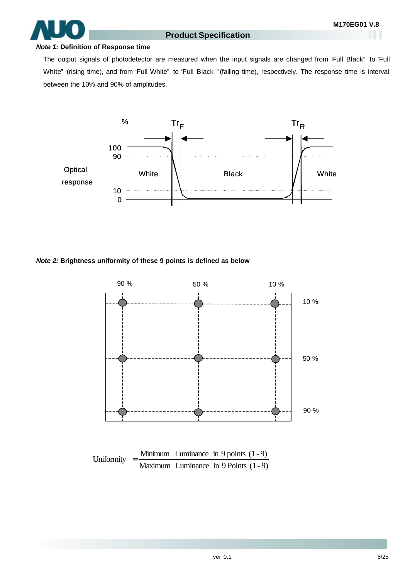#### *Note 1:* **Definition of Response time**

The output signals of photodetector are measured when the input signals are changed from "Full Black" to "Full White" (rising time), and from "Full White" to "Full Black "(falling time), respectively. The response time is interval between the 10% and 90% of amplitudes.



#### *Note 2:* **Brightness uniformity of these 9 points is defined as below**



Maximum Luminance in 9 Points (1- 9)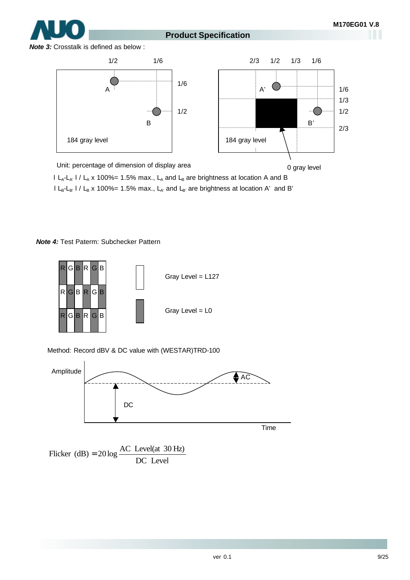0 gray level

# **Product Specification**

*Note 3:* Crosstalk is defined as below :



Unit: percentage of dimension of display area

I L<sub>A</sub>-L<sub>A'</sub> I / L<sub>A</sub> x 100%= 1.5% max., L<sub>A</sub> and L<sub>B</sub> are brightness at location A and B

 $l L_B-L_{B'}$  l /  $L_B$  x 100%= 1.5% max.,  $L_{A'}$  and  $L_{B'}$  are brightness at location A' and B'

*Note 4:* Test Paterm: Subchecker Pattern



Method: Record dBV & DC value with (WESTAR)TRD-100



DC Level Flicker (dB) =  $20 \log \frac{AC \text{ Level(at 30 Hz)}}{200 \text{ kg}}$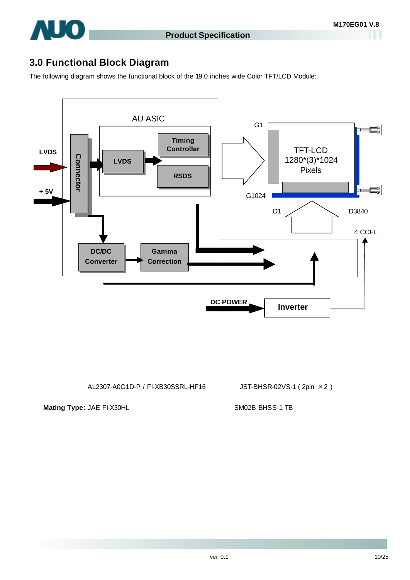

# **3.0 Functional Block Diagram**

The following diagram shows the functional block of the 19.0 inches wide Color TFT/LCD Module:



AL2307-A0G1D-P / FI-XB30SSRL-HF16 JST-BHSR-02VS-1 ( 2pin × 2 )

Mating Type: JAE FI-X30HL SM02B-BHSS-1-TB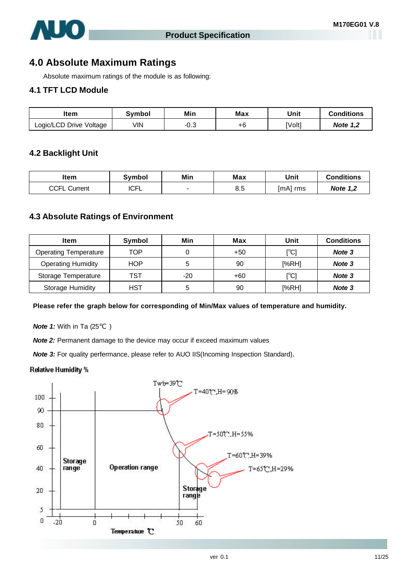

# **4.0 Absolute Maximum Ratings**

Absolute maximum ratings of the module is as following:

#### **4.1 TFT LCD Module**

| ltem                    | Svmbol | Min  | Max | Unit   | Conditions      |
|-------------------------|--------|------|-----|--------|-----------------|
| Logic/LCD Drive Voltage | VIN    | -∪.ം | ÷с  | [Volt] | <b>Note 1.2</b> |

#### **4.2 Backlight Unit**

| ltem            | Svmbol      | Min | Max | Unit        | <b>Conditions</b> |
|-----------------|-------------|-----|-----|-------------|-------------------|
| CCFL<br>Current | <b>ICFL</b> |     | 8.5 | [mA]<br>rms | <b>Note 1,2</b>   |

#### **4.3 Absolute Ratings of Environment**

| Item                         | Symbol     | Min   | Max   | Unit                             | <b>Conditions</b> |
|------------------------------|------------|-------|-------|----------------------------------|-------------------|
| <b>Operating Temperature</b> | TOP        |       | $+50$ | $C^{\circ}C$                     | Note 3            |
| <b>Operating Humidity</b>    | <b>HOP</b> | 5     | 90    | [%RH]                            | Note 3            |
| Storage Temperature          | TST        | $-20$ | $+60$ | $\mathop{\rm l}{\rm ^\circ C l}$ | Note 3            |
| Storage Humidity             | HST        | 5     | 90    | [%RH]                            | Note 3            |

**Please refer the graph below for corresponding of Min/Max values of temperature and humidity.**

**Note 1:** With in Ta (25 )

**Note 2:** Permanent damage to the device may occur if exceed maximum values

**Note 3:** For quality perfermance, please refer to AUO IIS(Incoming Inspection Standard).

#### Relative Humidity %

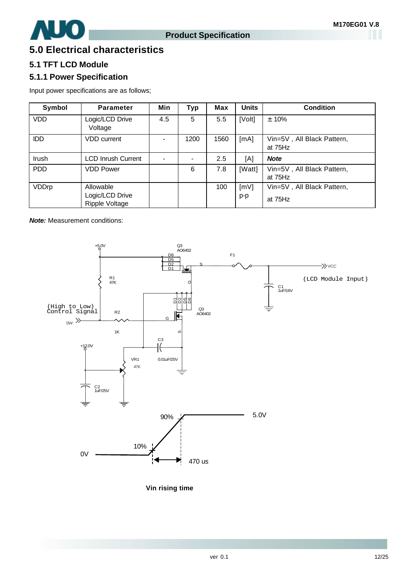

# **5.0 Electrical characteristics**

## **5.1 TFT LCD Module**

## **5.1.1 Power Specification**

Input power specifications are as follows;

| Symbol       | <b>Parameter</b>                               | Min | <b>Typ</b> | <b>Max</b> | <b>Units</b> | <b>Condition</b>                      |
|--------------|------------------------------------------------|-----|------------|------------|--------------|---------------------------------------|
| <b>VDD</b>   | Logic/LCD Drive<br>Voltage                     | 4.5 | 5          | 5.5        | [Volt]       | $± 10\%$                              |
| <b>IDD</b>   | <b>VDD</b> current                             |     | 1200       | 1560       | [mA]         | Vin=5V, All Black Pattern,<br>at 75Hz |
| Irush        | <b>LCD Inrush Current</b>                      |     |            | $2.5\,$    | [A]          | <b>Note</b>                           |
| <b>PDD</b>   | <b>VDD Power</b>                               |     | 6          | 7.8        | [Watt]       | Vin=5V, All Black Pattern,<br>at 75Hz |
| <b>VDDrp</b> | Allowable<br>Logic/LCD Drive<br>Ripple Voltage |     |            | 100        | [mV]<br>p-p  | Vin=5V, All Black Pattern,<br>at 75Hz |

**Note:** Measurement conditions:



**Vin rising time**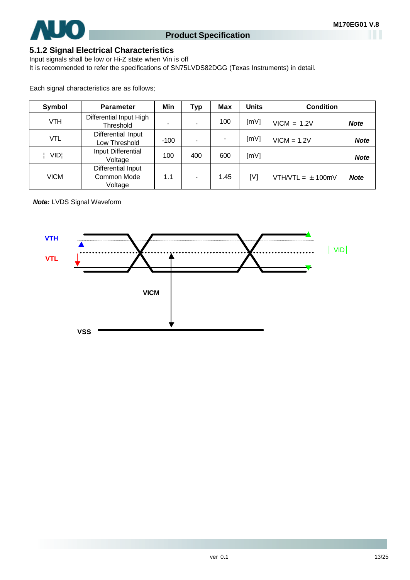

## **5.1.2 Signal Electrical Characteristics**

Input signals shall be low or Hi-Z state when Vin is off It is recommended to refer the specifications of SN75LVDS82DGG (Texas Instruments) in detail.

Each signal characteristics are as follows;

| Symbol      | <b>Parameter</b>                             | Min    | <b>Typ</b> | Max  | <b>Units</b> | <b>Condition</b>                     |
|-------------|----------------------------------------------|--------|------------|------|--------------|--------------------------------------|
| VTH         | Differential Input High<br>Threshold         |        |            | 100  | [mV]         | $VICM = 1.2V$<br><b>Note</b>         |
| VTL         | Differential Input<br>Low Threshold          | $-100$ |            |      | [mV]         | $VICM = 1.2V$<br><b>Note</b>         |
| VID¦        | Input Differential<br>Voltage                | 100    | 400        | 600  | [mV]         | <b>Note</b>                          |
| <b>VICM</b> | Differential Input<br>Common Mode<br>Voltage | 1.1    |            | 1.45 | [V]          | VTH/VTL = $\pm$ 100mV<br><b>Note</b> |

*Note:* LVDS Signal Waveform

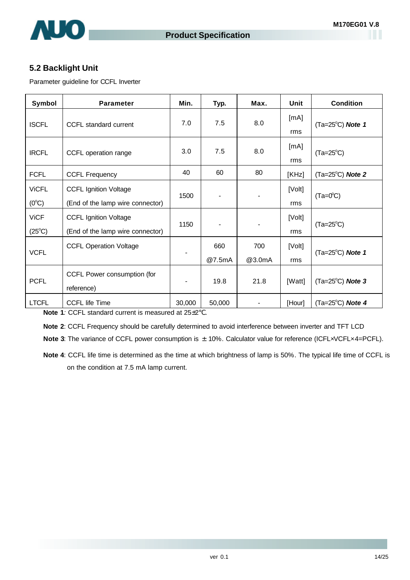

## **5.2 Backlight Unit**

Parameter guideline for CCFL Inverter

| Symbol                         | <b>Parameter</b>                                                 | Min.   | Typ.                     | Max.          | Unit          | <b>Condition</b>            |
|--------------------------------|------------------------------------------------------------------|--------|--------------------------|---------------|---------------|-----------------------------|
| <b>ISCFL</b>                   | CCFL standard current                                            | 7.0    | 7.5                      | 8.0           | [mA]<br>rms   | $(Ta=25^{\circ}C)$ Note 1   |
| <b>IRCFL</b>                   | CCFL operation range                                             | 3.0    | 7.5                      | 8.0           | [mA]<br>rms   | $(Ta=25^{\circ}C)$          |
| <b>FCFL</b>                    | <b>CCFL Frequency</b>                                            | 40     | 60                       | 80            | [KHz]         | $(Ta=25^{\circ}C)$ Note 2   |
| <b>ViCFL</b><br>$(0^{\circ}C)$ | <b>CCFL Ignition Voltage</b><br>(End of the lamp wire connector) | 1500   | $\overline{\phantom{a}}$ |               | [Volt]<br>rms | $(Ta=0^{\circ}C)$           |
| <b>ViCF</b><br>$(25^{\circ}C)$ | <b>CCFL Ignition Voltage</b><br>(End of the lamp wire connector) | 1150   |                          |               | [Volt]<br>rms | $(Ta=25^{\circ}C)$          |
| <b>VCFL</b>                    | <b>CCFL Operation Voltage</b>                                    |        | 660<br>@7.5mA            | 700<br>@3.0mA | [Volt]<br>rms | $(Ta=25^{\circ}C)$ Note 1   |
| <b>PCFL</b>                    | CCFL Power consumption (for<br>reference)                        |        | 19.8                     | 21.8          | [Watt]        | $(Ta=25^{\circ}C)$ Note 3   |
| <b>LTCFL</b>                   | <b>CCFL life Time</b>                                            | 30,000 | 50,000                   |               | [Hour]        | (Ta= $25^{\circ}$ C) Note 4 |

**Note 1***:* CCFL standard current is measured at 25±2 .

**Note 2**: CCFL Frequency should be carefully determined to avoid interference between inverter and TFT LCD

**Note 3**: The variance of CCFL power consumption is  $\pm$  10%. Calculator value for reference (ICFL×VCFL×4=PCFL).

**Note 4**: CCFL life time is determined as the time at which brightness of lamp is 50%. The typical life time of CCFL is on the condition at 7.5 mA lamp current.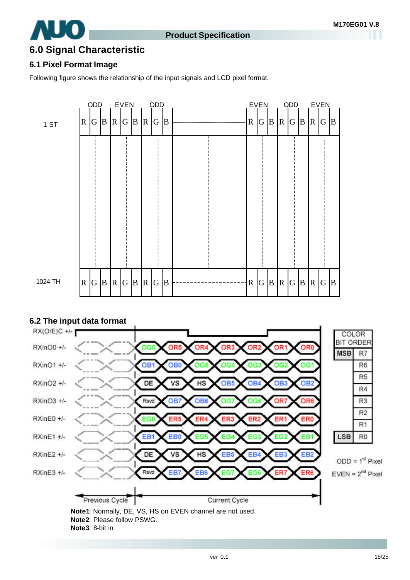

# **6.0 Signal Characteristic**

## **6.1 Pixel Format Image**

Following figure shows the relationship of the input signals and LCD pixel format.





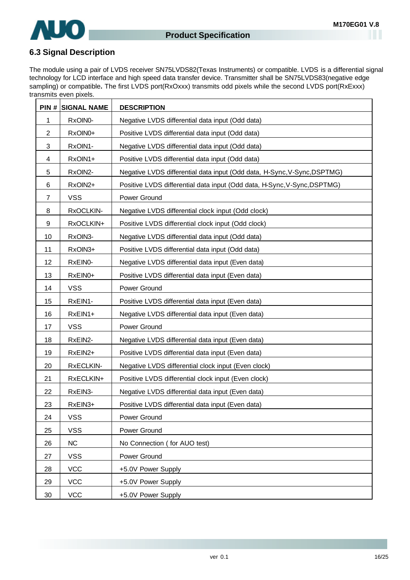

## **6.3 Signal Description**

The module using a pair of LVDS receiver SN75LVDS82(Texas Instruments) or compatible. LVDS is a differential signal technology for LCD interface and high speed data transfer device. Transmitter shall be SN75LVDS83(negative edge sampling) or compatible**.** The first LVDS port(RxOxxx) transmits odd pixels while the second LVDS port(RxExxx) transmits even pixels.

|                  | <b>PIN # SIGNAL NAME</b> | <b>DESCRIPTION</b>                                                       |
|------------------|--------------------------|--------------------------------------------------------------------------|
| 1                | RxOIN0-                  | Negative LVDS differential data input (Odd data)                         |
| $\overline{2}$   | RxOIN0+                  | Positive LVDS differential data input (Odd data)                         |
| 3                | RxOIN1-                  | Negative LVDS differential data input (Odd data)                         |
| 4                | RxOIN1+                  | Positive LVDS differential data input (Odd data)                         |
| 5                | RxOIN2-                  | Negative LVDS differential data input (Odd data, H-Sync, V-Sync, DSPTMG) |
| 6                | RxOIN2+                  | Positive LVDS differential data input (Odd data, H-Sync, V-Sync, DSPTMG) |
| 7                | <b>VSS</b>               | Power Ground                                                             |
| 8                | RxOCLKIN-                | Negative LVDS differential clock input (Odd clock)                       |
| $\boldsymbol{9}$ | RxOCLKIN+                | Positive LVDS differential clock input (Odd clock)                       |
| 10               | RxOIN3-                  | Negative LVDS differential data input (Odd data)                         |
| 11               | RxOIN3+                  | Positive LVDS differential data input (Odd data)                         |
| 12               | RxEIN0-                  | Negative LVDS differential data input (Even data)                        |
| 13               | RxEIN0+                  | Positive LVDS differential data input (Even data)                        |
| 14               | <b>VSS</b>               | Power Ground                                                             |
| 15               | RxEIN1-                  | Positive LVDS differential data input (Even data)                        |
| 16               | RxEIN1+                  | Negative LVDS differential data input (Even data)                        |
| 17               | <b>VSS</b>               | Power Ground                                                             |
| 18               | RxEIN2-                  | Negative LVDS differential data input (Even data)                        |
| 19               | RxEIN2+                  | Positive LVDS differential data input (Even data)                        |
| 20               | RxECLKIN-                | Negative LVDS differential clock input (Even clock)                      |
| 21               | RxECLKIN+                | Positive LVDS differential clock input (Even clock)                      |
| 22               | RxEIN3-                  | Negative LVDS differential data input (Even data)                        |
| 23               | RxEIN3+                  | Positive LVDS differential data input (Even data)                        |
| 24               | <b>VSS</b>               | Power Ground                                                             |
| 25               | <b>VSS</b>               | Power Ground                                                             |
| 26               | <b>NC</b>                | No Connection (for AUO test)                                             |
| 27               | <b>VSS</b>               | Power Ground                                                             |
| 28               | <b>VCC</b>               | +5.0V Power Supply                                                       |
| 29               | <b>VCC</b>               | +5.0V Power Supply                                                       |
| 30               | <b>VCC</b>               | +5.0V Power Supply                                                       |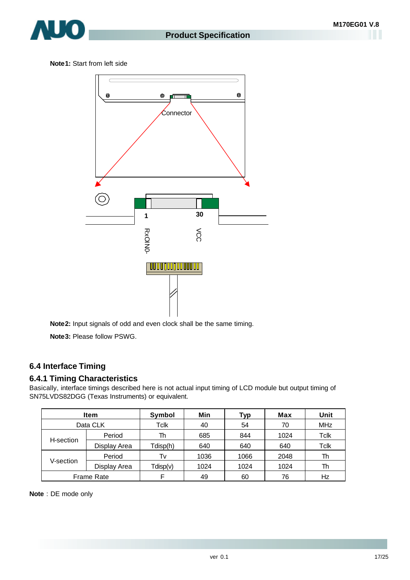

**Note1:** Start from left side



**Note2:** Input signals of odd and even clock shall be the same timing.

**Note3:** Please follow PSWG.

## **6.4 Interface Timing**

## **6.4.1 Timing Characteristics**

Basically, interface timings described here is not actual input timing of LCD module but output timing of SN75LVDS82DGG (Texas Instruments) or equivalent.

|                   | <b>Item</b>  | Symbol   | Min  | Typ  | Max  | Unit       |
|-------------------|--------------|----------|------|------|------|------------|
| Data CLK          |              | Tclk     | 40   | 54   | 70   | <b>MHz</b> |
|                   | Period       | Th       | 685  | 844  | 1024 | Tclk       |
| H-section         | Display Area | Tdisp(h) | 640  | 640  | 640  | Tclk       |
|                   | Period       | Tv       | 1036 | 1066 | 2048 | Th         |
| V-section         | Display Area | Tdisp(v) | 1024 | 1024 | 1024 | Th         |
| <b>Frame Rate</b> |              |          | 49   | 60   | 76   | Hz         |

**Note** : DE mode only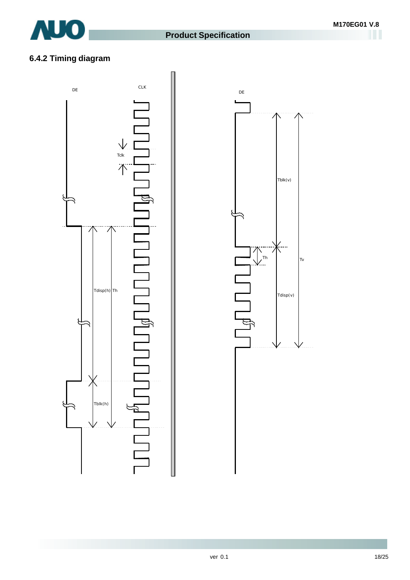

# **6.4.2 Timing diagram**



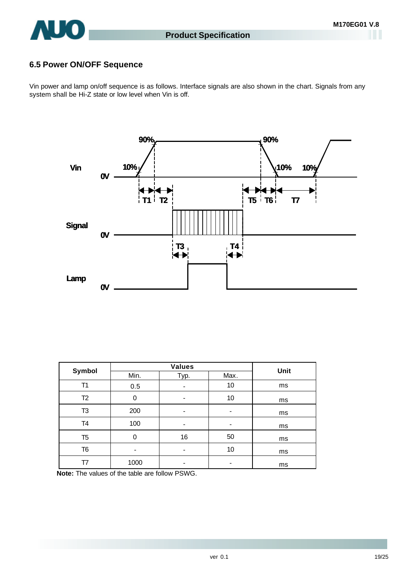

# **6.5 Power ON/OFF Sequence**

Vin power and lamp on/off sequence is as follows. Interface signals are also shown in the chart. Signals from any system shall be Hi-Z state or low level when Vin is off.



| Symbol         |      | Unit |      |    |
|----------------|------|------|------|----|
|                | Min. | Typ. | Max. |    |
| T1             | 0.5  |      | 10   | ms |
| T <sub>2</sub> | 0    | -    | 10   | ms |
| T <sub>3</sub> | 200  | -    |      | ms |
| T4             | 100  | -    |      | ms |
| T <sub>5</sub> | 0    | 16   | 50   | ms |
| T <sub>6</sub> |      | -    | 10   | ms |
| Τ7             | 1000 | -    |      | ms |

**Note:** The values of the table are follow PSWG.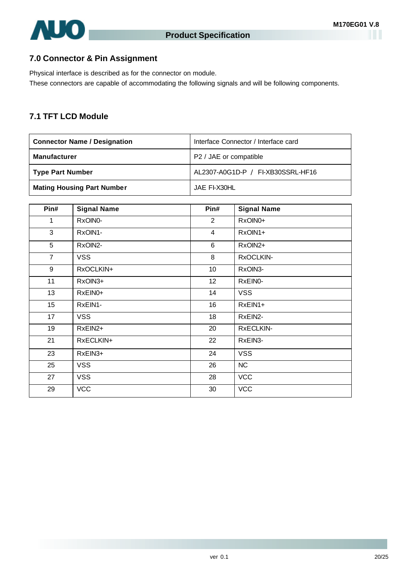

## **7.0 Connector & Pin Assignment**

Physical interface is described as for the connector on module. These connectors are capable of accommodating the following signals and will be following components.

### **7.1 TFT LCD Module**

| <b>Connector Name / Designation</b> | Interface Connector / Interface card |  |  |
|-------------------------------------|--------------------------------------|--|--|
| <b>Manufacturer</b>                 | P2 / JAE or compatible               |  |  |
| <b>Type Part Number</b>             | AL2307-A0G1D-P / FI-XB30SSRL-HF16    |  |  |
| <b>Mating Housing Part Number</b>   | JAE FI-X30HL                         |  |  |

| Pin#           | <b>Signal Name</b> | Pin#            | <b>Signal Name</b> |
|----------------|--------------------|-----------------|--------------------|
| 1              | RxOIN0-            | $\overline{2}$  | RxOIN0+            |
| 3              | RxOIN1-            | $\overline{4}$  | RxOIN1+            |
| 5              | RxOIN2-            | 6               | RxOIN2+            |
| $\overline{7}$ | <b>VSS</b>         | 8               | RxOCLKIN-          |
| 9              | RxOCLKIN+          | 10              | RxOIN3-            |
| 11             | RxOIN3+            | 12 <sub>2</sub> | RxEIN0-            |
| 13             | RxEIN0+            | 14              | <b>VSS</b>         |
| 15             | RxEIN1-            | 16              | RxEIN1+            |
| 17             | <b>VSS</b>         | 18              | RxEIN2-            |
| 19             | RxEIN2+            | 20              | RxECLKIN-          |
| 21             | RxECLKIN+          | 22              | RxEIN3-            |
| 23             | RxEIN3+            | 24              | <b>VSS</b>         |
| 25             | <b>VSS</b>         | 26              | NC                 |
| 27             | <b>VSS</b>         | 28              | <b>VCC</b>         |
| 29             | <b>VCC</b>         | 30              | <b>VCC</b>         |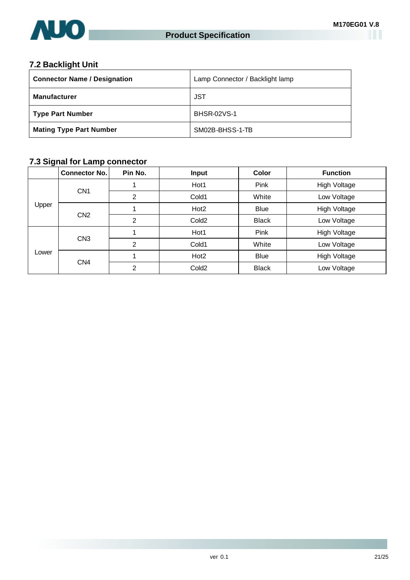

# **7.2 Backlight Unit**

| <b>Connector Name / Designation</b> | Lamp Connector / Backlight lamp |  |  |
|-------------------------------------|---------------------------------|--|--|
| <b>Manufacturer</b>                 | JST                             |  |  |
| <b>Type Part Number</b>             | <b>BHSR-02VS-1</b>              |  |  |
| <b>Mating Type Part Number</b>      | SM02B-BHSS-1-TB                 |  |  |

## **7.3 Signal for Lamp connector**

|       | <b>Connector No.</b> | Pin No.        | <b>Input</b>      | <b>Color</b> | <b>Function</b> |
|-------|----------------------|----------------|-------------------|--------------|-----------------|
| Upper | CN <sub>1</sub>      |                | Hot1              | Pink         | High Voltage    |
|       |                      | 2              | Cold1             | White        | Low Voltage     |
|       | CN <sub>2</sub>      |                | Hot <sub>2</sub>  | <b>Blue</b>  | High Voltage    |
|       |                      | 2              | Cold <sub>2</sub> | <b>Black</b> | Low Voltage     |
| Lower | CN <sub>3</sub>      |                | Hot1              | Pink         | High Voltage    |
|       |                      | $\overline{2}$ | Cold1             | White        | Low Voltage     |
|       | CN <sub>4</sub>      |                | Hot <sub>2</sub>  | <b>Blue</b>  | High Voltage    |
|       |                      | $\overline{2}$ | Cold <sub>2</sub> | <b>Black</b> | Low Voltage     |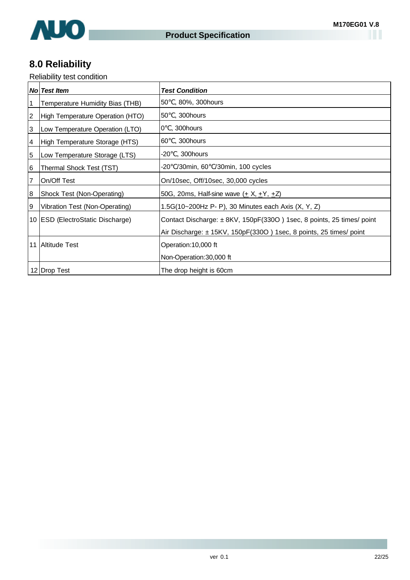

# **8.0 Reliability**

Reliability test condition

|                 | <b>No Test Item</b>                  | <b>Test Condition</b>                                                |
|-----------------|--------------------------------------|----------------------------------------------------------------------|
|                 | Temperature Humidity Bias (THB)      | , 80%, 300hours<br>50                                                |
| 2               | High Temperature Operation (HTO)     | , 300hours<br>50                                                     |
| 3               | Low Temperature Operation (LTO)      | , 300hours<br>0                                                      |
| 4               | High Temperature Storage (HTS)       | , 300hours<br>60                                                     |
| 5               | Low Temperature Storage (LTS)        | , 300hours<br>-20                                                    |
| 6               | Thermal Shock Test (TST)             | /30min, 60 /30min, 100 cycles<br>-20                                 |
|                 | On/Off Test                          | On/10sec, Off/10sec, 30,000 cycles                                   |
| 8               | Shock Test (Non-Operating)           | 50G, 20ms, Half-sine wave ( $\pm$ X, $\pm$ Y, $\pm$ Z)               |
| 9               | Vibration Test (Non-Operating)       | 1.5G(10~200Hz P- P), 30 Minutes each Axis (X, Y, Z)                  |
| 10 <sup>1</sup> | <b>ESD (ElectroStatic Discharge)</b> | Contact Discharge: ±8KV, 150pF(330O) 1sec, 8 points, 25 times/ point |
|                 |                                      | Air Discharge: ±15KV, 150pF(330O) 1sec, 8 points, 25 times/ point    |
| 11              | <b>Altitude Test</b>                 | Operation: 10,000 ft                                                 |
|                 |                                      | Non-Operation: 30,000 ft                                             |
|                 | 12 Drop Test                         | The drop height is 60cm                                              |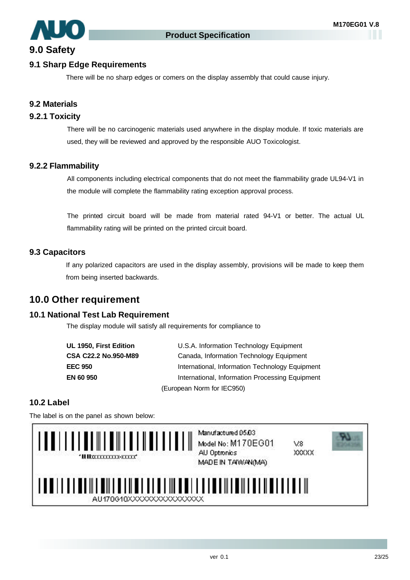

# **9.0 Safety**

#### **9.1 Sharp Edge Requirements**

There will be no sharp edges or comers on the display assembly that could cause injury.

#### **9.2 Materials**

#### **9.2.1 Toxicity**

There will be no carcinogenic materials used anywhere in the display module. If toxic materials are used, they will be reviewed and approved by the responsible AUO Toxicologist.

#### **9.2.2 Flammability**

All components including electrical components that do not meet the flammability grade UL94-V1 in the module will complete the flammability rating exception approval process.

The printed circuit board will be made from material rated 94-V1 or better. The actual UL flammability rating will be printed on the printed circuit board.

#### **9.3 Capacitors**

If any polarized capacitors are used in the display assembly, provisions will be made to keep them from being inserted backwards.

# **10.0 Other requirement**

#### **10.1 National Test Lab Requirement**

The display module will satisfy all requirements for compliance to

| UL 1950, First Edition      | U.S.A. Information Technology Equipment         |  |
|-----------------------------|-------------------------------------------------|--|
| <b>CSA C22.2 No.950-M89</b> | Canada, Information Technology Equipment        |  |
| <b>EEC 950</b>              | International, Information Technology Equipment |  |
| EN 60 950                   | International, Information Processing Equipment |  |
| (European Norm for IEC950)  |                                                 |  |

#### **10.2 Label**

The label is on the panel as shown below:

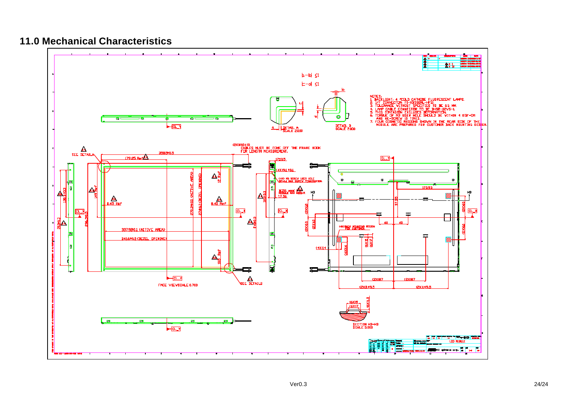